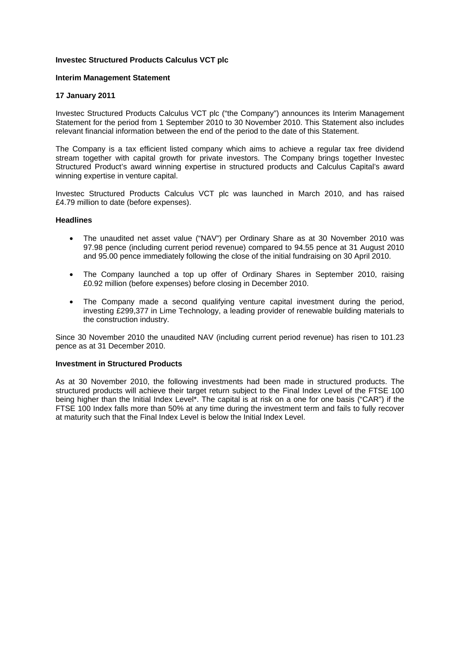# **Investec Structured Products Calculus VCT plc**

## **Interim Management Statement**

## **17 January 2011**

Investec Structured Products Calculus VCT plc ("the Company") announces its Interim Management Statement for the period from 1 September 2010 to 30 November 2010. This Statement also includes relevant financial information between the end of the period to the date of this Statement.

The Company is a tax efficient listed company which aims to achieve a regular tax free dividend stream together with capital growth for private investors. The Company brings together Investec Structured Product's award winning expertise in structured products and Calculus Capital's award winning expertise in venture capital.

Investec Structured Products Calculus VCT plc was launched in March 2010, and has raised £4.79 million to date (before expenses).

## **Headlines**

- The unaudited net asset value ("NAV") per Ordinary Share as at 30 November 2010 was 97.98 pence (including current period revenue) compared to 94.55 pence at 31 August 2010 and 95.00 pence immediately following the close of the initial fundraising on 30 April 2010.
- The Company launched a top up offer of Ordinary Shares in September 2010, raising £0.92 million (before expenses) before closing in December 2010.
- The Company made a second qualifying venture capital investment during the period, investing £299,377 in Lime Technology, a leading provider of renewable building materials to the construction industry.

Since 30 November 2010 the unaudited NAV (including current period revenue) has risen to 101.23 pence as at 31 December 2010.

#### **Investment in Structured Products**

As at 30 November 2010, the following investments had been made in structured products. The structured products will achieve their target return subject to the Final Index Level of the FTSE 100 being higher than the Initial Index Level\*. The capital is at risk on a one for one basis ("CAR") if the FTSE 100 Index falls more than 50% at any time during the investment term and fails to fully recover at maturity such that the Final Index Level is below the Initial Index Level.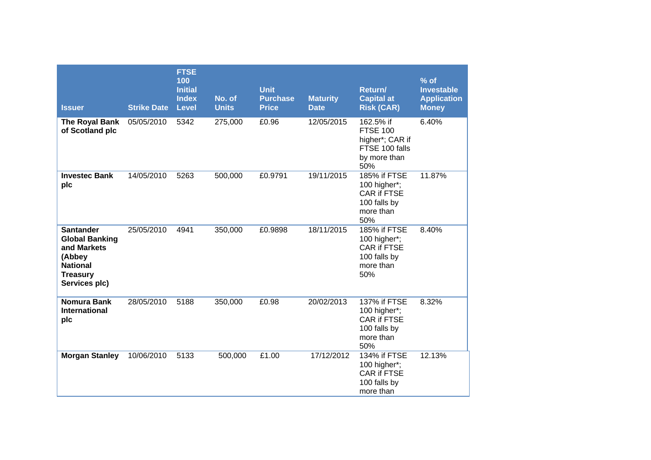| <b>Issuer</b>                                                                                                             | <b>Strike Date</b> | <b>FTSE</b><br>100<br><b>Initial</b><br><b>Index</b><br><b>Level</b> | No. of<br><b>Units</b> | <b>Unit</b><br><b>Purchase</b><br><b>Price</b> | <b>Maturity</b><br><b>Date</b> | Return/<br><b>Capital at</b><br><b>Risk (CAR)</b>                                        | % of<br><b>Investable</b><br><b>Application</b><br><b>Money</b> |
|---------------------------------------------------------------------------------------------------------------------------|--------------------|----------------------------------------------------------------------|------------------------|------------------------------------------------|--------------------------------|------------------------------------------------------------------------------------------|-----------------------------------------------------------------|
| The Royal Bank<br>of Scotland plc                                                                                         | 05/05/2010         | 5342                                                                 | 275,000                | £0.96                                          | 12/05/2015                     | 162.5% if<br><b>FTSE 100</b><br>higher*; CAR if<br>FTSE 100 falls<br>by more than<br>50% | 6.40%                                                           |
| <b>Investec Bank</b><br>plc                                                                                               | 14/05/2010         | 5263                                                                 | 500,000                | £0.9791                                        | 19/11/2015                     | 185% if FTSE<br>100 higher*;<br><b>CAR if FTSE</b><br>100 falls by<br>more than<br>50%   | 11.87%                                                          |
| <b>Santander</b><br><b>Global Banking</b><br>and Markets<br>(Abbey<br><b>National</b><br><b>Treasury</b><br>Services plc) | 25/05/2010         | 4941                                                                 | 350,000                | £0.9898                                        | 18/11/2015                     | 185% if FTSE<br>100 higher*;<br>CAR if FTSE<br>100 falls by<br>more than<br>50%          | 8.40%                                                           |
| <b>Nomura Bank</b><br><b>International</b><br>plc                                                                         | 28/05/2010         | 5188                                                                 | 350,000                | £0.98                                          | 20/02/2013                     | 137% if FTSE<br>100 higher*;<br><b>CAR if FTSE</b><br>100 falls by<br>more than<br>50%   | 8.32%                                                           |
| <b>Morgan Stanley</b>                                                                                                     | 10/06/2010         | 5133                                                                 | 500,000                | £1.00                                          | 17/12/2012                     | <b>134% if FTSE</b><br>100 higher*;<br><b>CAR if FTSE</b><br>100 falls by<br>more than   | 12.13%                                                          |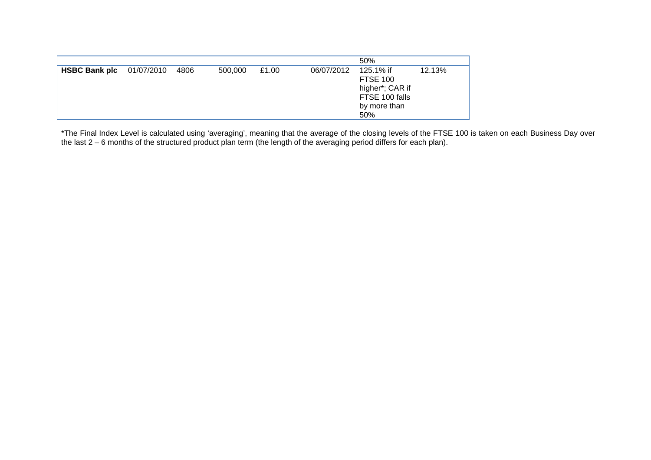|                      |            |      |         |       | 50%                                                                                                              |  |
|----------------------|------------|------|---------|-------|------------------------------------------------------------------------------------------------------------------|--|
| <b>HSBC Bank plc</b> | 01/07/2010 | 4806 | 500,000 | £1.00 | 06/07/2012<br>125.1% if<br>12.13%<br><b>FTSE 100</b><br>higher*; CAR if<br>FTSE 100 falls<br>by more than<br>50% |  |

\*The Final Index Level is calculated using 'averaging', meaning that the average of the closing levels of the FTSE 100 is taken on each Business Day over the last 2 – 6 months of the structured product plan term (the length of the averaging period differs for each plan).